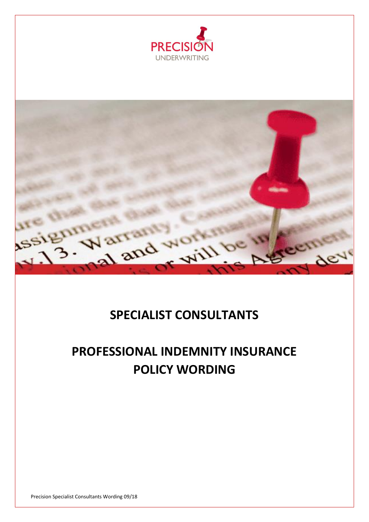



## **SPECIALIST CONSULTANTS**

# **PROFESSIONAL INDEMNITY INSURANCE POLICY WORDING**

Precision Specialist Consultants Wording 09/18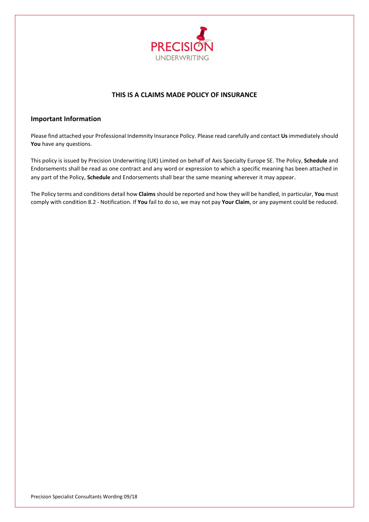

## **THIS IS A CLAIMS MADE POLICY OF INSURANCE**

## **Important Information**

Please find attached your Professional Indemnity Insurance Policy. Please read carefully and contact **Us**immediately should **You** have any questions.

This policy is issued by Precision Underwriting (UK) Limited on behalf of Axis Specialty Europe SE. The Policy, **Schedule** and Endorsements shall be read as one contract and any word or expression to which a specific meaning has been attached in any part of the Policy, **Schedule** and Endorsements shall bear the same meaning wherever it may appear.

The Policy terms and conditions detail how **Claims** should be reported and how they will be handled, in particular, **You** must comply with condition 8.2 - Notification. If **You** fail to do so, we may not pay **Your Claim**, or any payment could be reduced.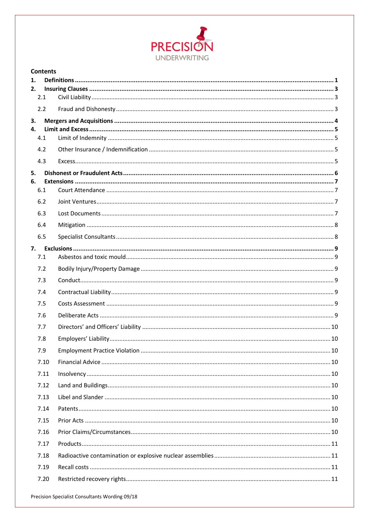

| 1. |      |  |  |
|----|------|--|--|
| 2. | 2.1  |  |  |
|    | 2.2  |  |  |
| 3. |      |  |  |
| 4. |      |  |  |
|    | 4.1  |  |  |
|    | 4.2  |  |  |
|    | 4.3  |  |  |
| 5. |      |  |  |
| 6. | 6.1  |  |  |
|    |      |  |  |
|    | 6.2  |  |  |
|    | 6.3  |  |  |
|    | 6.4  |  |  |
|    | 6.5  |  |  |
| 7. | 7.1  |  |  |
|    | 7.2  |  |  |
|    | 7.3  |  |  |
|    | 7.4  |  |  |
|    | 7.5  |  |  |
|    | 7.6  |  |  |
|    | 7.7  |  |  |
|    | 7.8  |  |  |
|    | 7.9  |  |  |
|    | 7.10 |  |  |
|    | 7.11 |  |  |
|    | 7.12 |  |  |
|    | 7.13 |  |  |
|    | 7.14 |  |  |
|    | 7.15 |  |  |
|    | 7.16 |  |  |
|    | 7.17 |  |  |
|    | 7.18 |  |  |
|    | 7.19 |  |  |
|    | 7.20 |  |  |
|    |      |  |  |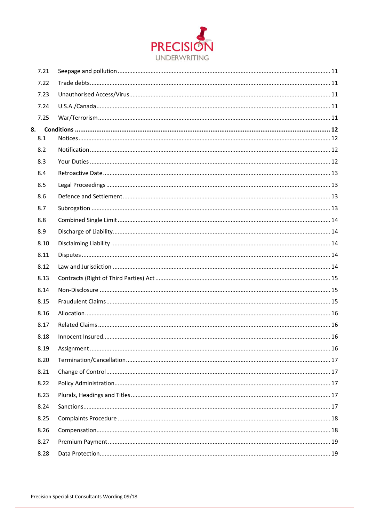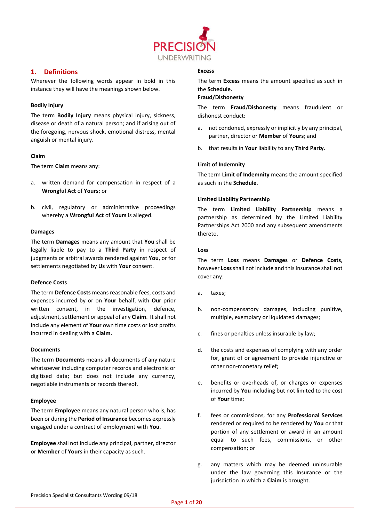

## <span id="page-4-0"></span>**1. Definitions**

Wherever the following words appear in bold in this instance they will have the meanings shown below.

#### **Bodily Injury**

The term **Bodily Injury** means physical injury, sickness, disease or death of a natural person; and if arising out of the foregoing, nervous shock, emotional distress, mental anguish or mental injury.

#### **Claim**

The term **Claim** means any:

- a. written demand for compensation in respect of a **Wrongful Act** of **Yours**; or
- b. civil, regulatory or administrative proceedings whereby a **Wrongful Act** of **Yours** is alleged.

#### **Damages**

The term **Damages** means any amount that **You** shall be legally liable to pay to a **Third Party** in respect of judgments or arbitral awards rendered against **You**, or for settlements negotiated by **Us** with **Your** consent.

#### **Defence Costs**

The term **Defence Costs** means reasonable fees, costs and expenses incurred by or on **Your** behalf, with **Our** prior written consent, in the investigation, defence, adjustment, settlement or appeal of any **Claim**. It shall not include any element of **Your** own time costs or lost profits incurred in dealing with a **Claim.**

#### **Documents**

The term **Documents** means all documents of any nature whatsoever including computer records and electronic or digitised data; but does not include any currency, negotiable instruments or records thereof.

#### **Employee**

The term **Employee** means any natural person who is, has been or during the **Period of Insurance** becomes expressly engaged under a contract of employment with **You**.

**Employee** shall not include any principal, partner, director or **Member** of **Yours** in their capacity as such.

#### **Excess**

The term **Excess** means the amount specified as such in the **Schedule.**

#### **Fraud/Dishonesty**

The term **Fraud**/**Dishonesty** means fraudulent or dishonest conduct:

- a. not condoned, expressly or implicitly by any principal, partner, director or **Member** of **Yours**; and
- b. that results in **Your** liability to any **Third Party**.

#### **Limit of Indemnity**

The term **Limit of Indemnity** means the amount specified as such in the **Schedule**.

#### **Limited Liability Partnership**

The term **Limited Liability Partnership** means a partnership as determined by the Limited Liability Partnerships Act 2000 and any subsequent amendments thereto.

#### **Loss**

The term **Loss** means **Damages** or **Defence Costs**, however **Loss**shall not include and this Insurance shall not cover any:

- a. taxes;
- b. non-compensatory damages, including punitive, multiple, exemplary or liquidated damages;
- c. fines or penalties unless insurable by law;
- d. the costs and expenses of complying with any order for, grant of or agreement to provide injunctive or other non-monetary relief;
- e. benefits or overheads of, or charges or expenses incurred by **You** including but not limited to the cost of **Your** time;
- f. fees or commissions, for any **Professional Services** rendered or required to be rendered by **You** or that portion of any settlement or award in an amount equal to such fees, commissions, or other compensation; or
- g. any matters which may be deemed uninsurable under the law governing this Insurance or the jurisdiction in which a **Claim** is brought.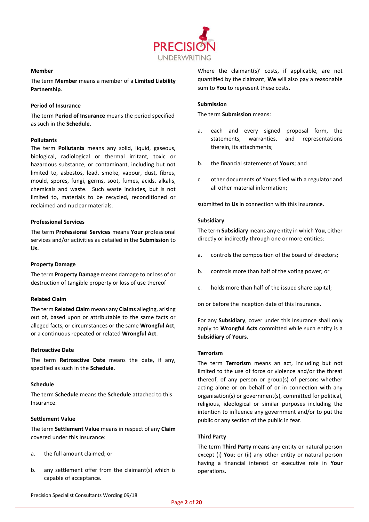

#### **Member**

The term **Member** means a member of a **Limited Liability Partnership**.

#### **Period of Insurance**

The term **Period of Insurance** means the period specified as such in the **Schedule**.

#### **Pollutants**

The term **Pollutants** means any solid, liquid, gaseous, biological, radiological or thermal irritant, toxic or hazardous substance, or contaminant, including but not limited to, asbestos, lead, smoke, vapour, dust, fibres, mould, spores, fungi, germs, soot, fumes, acids, alkalis, chemicals and waste. Such waste includes, but is not limited to, materials to be recycled, reconditioned or reclaimed and nuclear materials.

#### **Professional Services**

The term **Professional Services** means **Your** professional services and/or activities as detailed in the **Submission** to **Us.**

#### **Property Damage**

The term **Property Damage** means damage to or loss of or destruction of tangible property or loss of use thereof

#### **Related Claim**

The term **Related Claim** means any **Claims** alleging, arising out of, based upon or attributable to the same facts or alleged facts, or circumstances or the same **Wrongful Act**, or a continuous repeated or related **Wrongful Act**.

#### **Retroactive Date**

The term **Retroactive Date** means the date, if any, specified as such in the **Schedule**.

#### **Schedule**

The term **Schedule** means the **Schedule** attached to this Insurance.

#### **Settlement Value**

The term **Settlement Value** means in respect of any **Claim** covered under this Insurance:

- a. the full amount claimed; or
- b. any settlement offer from the claimant(s) which is capable of acceptance.

Where the claimant(s)' costs, if applicable, are not quantified by the claimant, **We** will also pay a reasonable sum to **You** to represent these costs.

#### **Submission**

The term **Submission** means:

- a. each and every signed proposal form, the statements, warranties, and representations therein, its attachments;
- b. the financial statements of **Yours**; and
- c. other documents of Yours filed with a regulator and all other material information;

submitted to **Us** in connection with this Insurance.

#### **Subsidiary**

The term **Subsidiary** means any entity in which **You**, either directly or indirectly through one or more entities:

- a. controls the composition of the board of directors;
- b. controls more than half of the voting power; or
- c. holds more than half of the issued share capital;

on or before the inception date of this Insurance.

For any **Subsidiary**, cover under this Insurance shall only apply to **Wrongful Acts** committed while such entity is a **Subsidiary** of **Yours**.

#### **Terrorism**

The term **Terrorism** means an act, including but not limited to the use of force or violence and/or the threat thereof, of any person or group(s) of persons whether acting alone or on behalf of or in connection with any organisation(s) or government(s), committed for political, religious, ideological or similar purposes including the intention to influence any government and/or to put the public or any section of the public in fear.

#### **Third Party**

The term **Third Party** means any entity or natural person except (i) **You**; or (ii) any other entity or natural person having a financial interest or executive role in **Your** operations.

Precision Specialist Consultants Wording 09/18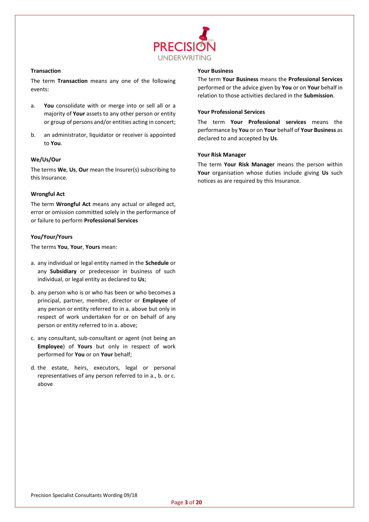

#### **Transaction**

The term **Transaction** means any one of the following events:

- a. **You** consolidate with or merge into or sell all or a majority of **Your** assets to any other person or entity or group of persons and/or entities acting in concert;
- b. an administrator, liquidator or receiver is appointed to **You**.

#### **We/Us/Our**

The terms **We**, **Us**, **Our** mean the Insurer(s) subscribing to this Insurance.

#### **Wrongful Act**

The term **Wrongful Act** means any actual or alleged act, error or omission committed solely in the performance of or failure to perform **Professional Services**

#### **You/Your/Yours**

The terms **You**, **Your**, **Yours** mean:

- a. any individual or legal entity named in the **Schedule** or any **Subsidiary** or predecessor in business of such individual, or legal entity as declared to **Us**;
- b. any person who is or who has been or who becomes a principal, partner, member, director or **Employee** of any person or entity referred to in a. above but only in respect of work undertaken for or on behalf of any person or entity referred to in a. above;
- c. any consultant, sub-consultant or agent (not being an **Employee**) of **Yours** but only in respect of work performed for **You** or on **Your** behalf;
- d. the estate, heirs, executors, legal or personal representatives of any person referred to in a., b. or c. above

#### **Your Business**

The term **Your Business** means the **Professional Services** performed or the advice given by **You** or on **Your** behalf in relation to those activities declared in the **Submission**.

#### **Your Professional Services**

The term **Your Professional services** means the performance by **You** or on **Your** behalf of **Your Business** as declared to and accepted by **Us**.

#### **Your Risk Manager**

The term **Your Risk Manager** means the person within **Your** organisation whose duties include giving **Us** such notices as are required by this Insurance.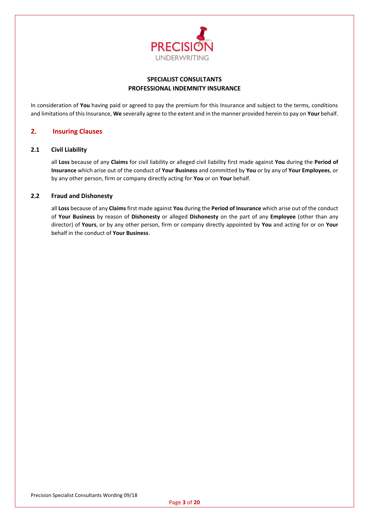

## **SPECIALIST CONSULTANTS PROFESSIONAL INDEMNITY INSURANCE**

In consideration of **You** having paid or agreed to pay the premium for this Insurance and subject to the terms, conditions and limitations of this Insurance, **We** severally agree to the extent and in the manner provided herein to pay on **Your** behalf.

## <span id="page-7-0"></span>**2. Insuring Clauses**

#### <span id="page-7-1"></span>**2.1 Civil Liability**

all **Loss** because of any **Claims** for civil liability or alleged civil liability first made against **You** during the **Period of Insurance** which arise out of the conduct of **Your Business** and committed by **You** or by any of **Your Employees**, or by any other person, firm or company directly acting for **You** or on **Your** behalf.

## <span id="page-7-2"></span>**2.2 Fraud and Dishonesty**

all **Loss** because of any **Claims** first made against **You** during the **Period of Insurance** which arise out of the conduct of **Your Business** by reason of **Dishonesty** or alleged **Dishonesty** on the part of any **Employee** (other than any director) of **Yours**, or by any other person, firm or company directly appointed by **You** and acting for or on **Your** behalf in the conduct of **Your Business**.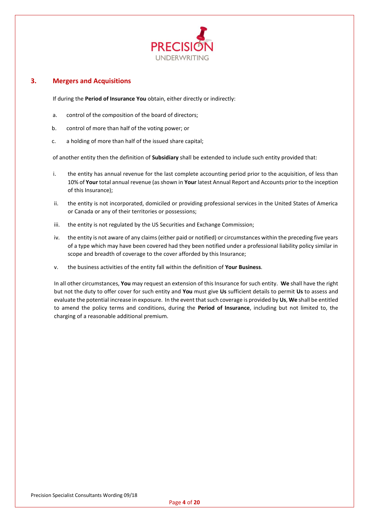

## <span id="page-8-0"></span>**3. Mergers and Acquisitions**

If during the **Period of Insurance You** obtain, either directly or indirectly:

- a. control of the composition of the board of directors;
- b. control of more than half of the voting power; or
- c. a holding of more than half of the issued share capital;

of another entity then the definition of **Subsidiary** shall be extended to include such entity provided that:

- i. the entity has annual revenue for the last complete accounting period prior to the acquisition, of less than 10% of **Your** total annual revenue (as shown in **Your** latest Annual Report and Accounts prior to the inception of this Insurance);
- ii. the entity is not incorporated, domiciled or providing professional services in the United States of America or Canada or any of their territories or possessions;
- iii. the entity is not regulated by the US Securities and Exchange Commission;
- iv. the entity is not aware of any claims (either paid or notified) or circumstances within the preceding five years of a type which may have been covered had they been notified under a professional liability policy similar in scope and breadth of coverage to the cover afforded by this Insurance;
- v. the business activities of the entity fall within the definition of **Your Business**.

In all other circumstances, **You** may request an extension of this Insurance for such entity. **We** shall have the right but not the duty to offer cover for such entity and **You** must give **Us** sufficient details to permit **Us** to assess and evaluate the potential increase in exposure. In the event that such coverage is provided by **Us**, **We** shall be entitled to amend the policy terms and conditions, during the **Period of Insurance**, including but not limited to, the charging of a reasonable additional premium.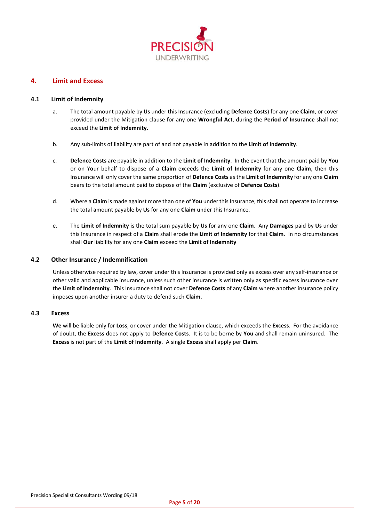

## <span id="page-9-0"></span>**4. Limit and Excess**

#### <span id="page-9-1"></span>**4.1 Limit of Indemnity**

- a. The total amount payable by **Us** under this Insurance (excluding **Defence Costs**) for any one **Claim**, or cover provided under the Mitigation clause for any one **Wrongful Act**, during the **Period of Insurance** shall not exceed the **Limit of Indemnity**.
- b. Any sub-limits of liability are part of and not payable in addition to the **Limit of Indemnity**.
- c. **Defence Costs** are payable in addition to the **Limit of Indemnity**. In the event that the amount paid by **You** or on Y**o**ur behalf to dispose of a **Claim** exceeds the **Limit of Indemnity** for any one **Claim**, then this Insurance will only cover the same proportion of **Defence Costs** as the **Limit of Indemnity** for any one **Claim** bears to the total amount paid to dispose of the **Claim** (exclusive of **Defence Costs**).
- d. Where a **Claim** is made against more than one of **You** under this Insurance, this shall not operate to increase the total amount payable by **Us** for any one **Claim** under this Insurance.
- e. The **Limit of Indemnity** is the total sum payable by **Us** for any one **Claim**. Any **Damages** paid by **Us** under this Insurance in respect of a **Claim** shall erode the **Limit of Indemnity** for that **Claim**. In no circumstances shall **Our** liability for any one **Claim** exceed the **Limit of Indemnity**

#### <span id="page-9-2"></span>**4.2 Other Insurance / Indemnification**

Unless otherwise required by law, cover under this Insurance is provided only as excess over any self-insurance or other valid and applicable insurance, unless such other insurance is written only as specific excess insurance over the **Limit of Indemnity**. This Insurance shall not cover **Defence Costs** of any **Claim** where another insurance policy imposes upon another insurer a duty to defend such **Claim**.

#### <span id="page-9-3"></span>**4.3 Excess**

**We** will be liable only for **Loss**, or cover under the Mitigation clause, which exceeds the **Excess**. For the avoidance of doubt, the **Excess** does not apply to **Defence Costs**. It is to be borne by **You** and shall remain uninsured. The **Excess** is not part of the **Limit of Indemnity**. A single **Excess** shall apply per **Claim**.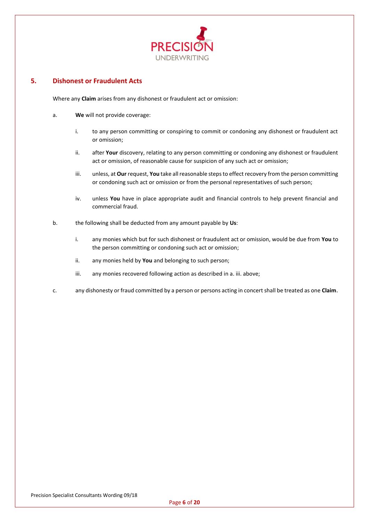

## <span id="page-10-0"></span>**5. Dishonest or Fraudulent Acts**

Where any **Claim** arises from any dishonest or fraudulent act or omission:

- a. **We** will not provide coverage:
	- i. to any person committing or conspiring to commit or condoning any dishonest or fraudulent act or omission;
	- ii. after **Your** discovery, relating to any person committing or condoning any dishonest or fraudulent act or omission, of reasonable cause for suspicion of any such act or omission;
	- iii. unless, at **Our** request, **You** take all reasonable steps to effect recovery from the person committing or condoning such act or omission or from the personal representatives of such person;
	- iv. unless **You** have in place appropriate audit and financial controls to help prevent financial and commercial fraud.
- b. the following shall be deducted from any amount payable by **Us**:
	- i. any monies which but for such dishonest or fraudulent act or omission, would be due from **You** to the person committing or condoning such act or omission;
	- ii. any monies held by **You** and belonging to such person;
	- iii. any monies recovered following action as described in a. iii. above;
- c. any dishonesty or fraud committed by a person or persons acting in concert shall be treated as one **Claim**.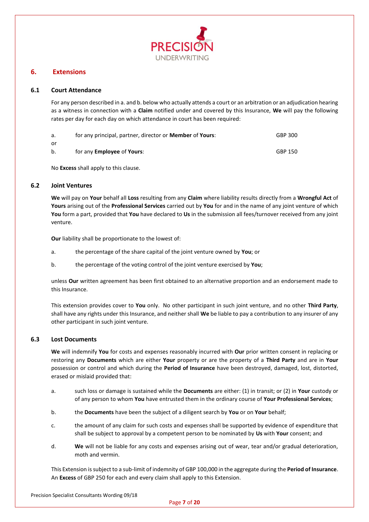

## <span id="page-11-0"></span>**6. Extensions**

#### <span id="page-11-1"></span>**6.1 Court Attendance**

For any person described in a. and b. below who actually attends a court or an arbitration or an adjudication hearing as a witness in connection with a **Claim** notified under and covered by this Insurance, **We** will pay the following rates per day for each day on which attendance in court has been required:

| а.      | for any principal, partner, director or <b>Member</b> of <b>Yours</b> : | GBP 300 |
|---------|-------------------------------------------------------------------------|---------|
| or      |                                                                         |         |
| $b_{1}$ | for any <b>Employee</b> of <b>Yours</b> :                               | GBP 150 |

No **Excess** shall apply to this clause.

#### <span id="page-11-2"></span>**6.2 Joint Ventures**

**We** will pay on **Your** behalf all **Loss** resulting from any **Claim** where liability results directly from a **Wrongful Act** of **Yours** arising out of the **Professional Services** carried out by **You** for and in the name of any joint venture of which **You** form a part, provided that **You** have declared to **Us** in the submission all fees/turnover received from any joint venture.

**Our** liability shall be proportionate to the lowest of:

- a. the percentage of the share capital of the joint venture owned by **You**; or
- b. the percentage of the voting control of the joint venture exercised by **You**;

unless **Our** written agreement has been first obtained to an alternative proportion and an endorsement made to this Insurance.

This extension provides cover to **You** only. No other participant in such joint venture, and no other **Third Party**, shall have any rights under this Insurance, and neither shall **We** be liable to pay a contribution to any insurer of any other participant in such joint venture.

#### <span id="page-11-3"></span>**6.3 Lost Documents**

**We** will indemnify **You** for costs and expenses reasonably incurred with **Our** prior written consent in replacing or restoring any **Documents** which are either **Your** property or are the property of a **Third Party** and are in **Your** possession or control and which during the **Period of Insurance** have been destroyed, damaged, lost, distorted, erased or mislaid provided that:

- a. such loss or damage is sustained while the **Documents** are either: (1) in transit; or (2) in **Your** custody or of any person to whom **You** have entrusted them in the ordinary course of **Your Professional Services**;
- b. the **Documents** have been the subject of a diligent search by **You** or on **Your** behalf;
- c. the amount of any claim for such costs and expenses shall be supported by evidence of expenditure that shall be subject to approval by a competent person to be nominated by **Us** with **Your** consent; and
- d. **We** will not be liable for any costs and expenses arising out of wear, tear and/or gradual deterioration, moth and vermin.

This Extension is subject to a sub-limit of indemnity of GBP 100,000 in the aggregate during the **Period of Insurance**. An **Excess** of GBP 250 for each and every claim shall apply to this Extension.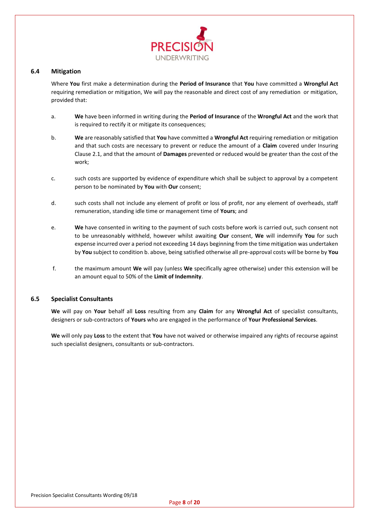

#### <span id="page-12-0"></span>**6.4 Mitigation**

Where **You** first make a determination during the **Period of Insurance** that **You** have committed a **Wrongful Act** requiring remediation or mitigation, We will pay the reasonable and direct cost of any remediation or mitigation, provided that:

- a. **We** have been informed in writing during the **Period of Insurance** of the **Wrongful Act** and the work that is required to rectify it or mitigate its consequences;
- b. **We** are reasonably satisfied that **You** have committed a **Wrongful Act** requiring remediation or mitigation and that such costs are necessary to prevent or reduce the amount of a **Claim** covered under Insuring Clause 2.1, and that the amount of **Damages** prevented or reduced would be greater than the cost of the work;
- c. such costs are supported by evidence of expenditure which shall be subject to approval by a competent person to be nominated by **You** with **Our** consent;
- d. such costs shall not include any element of profit or loss of profit, nor any element of overheads, staff remuneration, standing idle time or management time of **Yours**; and
- e. **We** have consented in writing to the payment of such costs before work is carried out, such consent not to be unreasonably withheld, however whilst awaiting **Our** consent, **We** will indemnify **You** for such expense incurred over a period not exceeding 14 days beginning from the time mitigation was undertaken by **You** subject to condition b. above, being satisfied otherwise all pre-approval costs will be borne by **You**
- f. the maximum amount **We** will pay (unless **We** specifically agree otherwise) under this extension will be an amount equal to 50% of the **Limit of Indemnity**.

#### <span id="page-12-1"></span>**6.5 Specialist Consultants**

**We** will pay on **Your** behalf all **Loss** resulting from any **Claim** for any **Wrongful Act** of specialist consultants, designers or sub-contractors of **Yours** who are engaged in the performance of **Your Professional Services**.

**We** will only pay **Loss** to the extent that **You** have not waived or otherwise impaired any rights of recourse against such specialist designers, consultants or sub-contractors.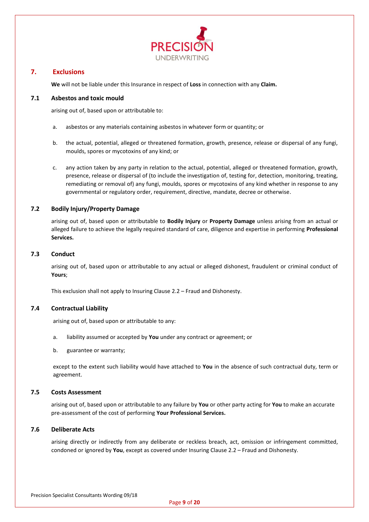

## <span id="page-13-0"></span>**7. Exclusions**

**We** will not be liable under this Insurance in respect of **Loss** in connection with any **Claim.**

## <span id="page-13-1"></span>**7.1 Asbestos and toxic mould**

arising out of, based upon or attributable to:

- a. asbestos or any materials containing asbestos in whatever form or quantity; or
- b. the actual, potential, alleged or threatened formation, growth, presence, release or dispersal of any fungi, moulds, spores or mycotoxins of any kind; or
- c. any action taken by any party in relation to the actual, potential, alleged or threatened formation, growth, presence, release or dispersal of (to include the investigation of, testing for, detection, monitoring, treating, remediating or removal of) any fungi, moulds, spores or mycotoxins of any kind whether in response to any governmental or regulatory order, requirement, directive, mandate, decree or otherwise.

## <span id="page-13-2"></span>**7.2 Bodily Injury/Property Damage**

arising out of, based upon or attributable to **Bodily Injury** or **Property Damage** unless arising from an actual or alleged failure to achieve the legally required standard of care, diligence and expertise in performing **Professional Services.**

## <span id="page-13-3"></span>**7.3 Conduct**

arising out of, based upon or attributable to any actual or alleged dishonest, fraudulent or criminal conduct of **Yours**;

This exclusion shall not apply to Insuring Clause 2.2 – Fraud and Dishonesty.

## <span id="page-13-4"></span>**7.4 Contractual Liability**

arising out of, based upon or attributable to any:

- a. liability assumed or accepted by **You** under any contract or agreement; or
- b. guarantee or warranty;

except to the extent such liability would have attached to **You** in the absence of such contractual duty, term or agreement.

#### <span id="page-13-5"></span>**7.5 Costs Assessment**

arising out of, based upon or attributable to any failure by **You** or other party acting for **You** to make an accurate pre-assessment of the cost of performing **Your Professional Services.**

#### <span id="page-13-6"></span>**7.6 Deliberate Acts**

arising directly or indirectly from any deliberate or reckless breach, act, omission or infringement committed, condoned or ignored by **You**, except as covered under Insuring Clause 2.2 – Fraud and Dishonesty.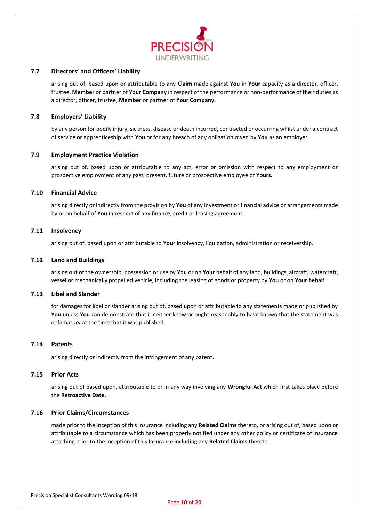

#### <span id="page-14-0"></span>**7.7 Directors' and Officers' Liability**

arising out of, based upon or attributable to any **Claim** made against **You** in **Your** capacity as a director, officer, trustee, **Member** or partner of **Your Company** in respect of the performance or non-performance of their duties as a director, officer, trustee, **Member** or partner of **Your Company.**

#### <span id="page-14-1"></span>**7.8 Employers' Liability**

by any person for bodily injury, sickness, disease or death incurred, contracted or occurring whilst under a contract of service or apprenticeship with **You** or for any breach of any obligation owed by **You** as an employer.

#### <span id="page-14-2"></span>**7.9 Employment Practice Violation**

arising out of, based upon or attributable to any act, error or omission with respect to any employment or prospective employment of any past, present, future or prospective employee of **Yours.**

#### <span id="page-14-3"></span>**7.10 Financial Advice**

arising directly or indirectly from the provision by **You** of any investment or financial advice or arrangements made by or on behalf of **You** in respect of any finance, credit or leasing agreement.

#### <span id="page-14-4"></span>**7.11 Insolvency**

arising out of, based upon or attributable to **Your** insolvency, liquidation, administration or receivership.

#### <span id="page-14-5"></span>**7.12 Land and Buildings**

arising out of the ownership, possession or use by **You** or on **Your** behalf of any land, buildings, aircraft, watercraft, vessel or mechanically propelled vehicle, including the leasing of goods or property by **You** or on **Your** behalf.

#### <span id="page-14-6"></span>**7.13 Libel and Slander**

for damages for libel or slander arising out of, based upon or attributable to any statements made or published by You unless You can demonstrate that it neither knew or ought reasonably to have known that the statement was defamatory at the time that it was published.

## <span id="page-14-7"></span>**7.14 Patents**

arising directly or indirectly from the infringement of any patent.

#### <span id="page-14-8"></span>**7.15 Prior Acts**

arising out of based upon, attributable to or in any way involving any **Wrongful Act** which first takes place before the **Retroactive Date.**

#### <span id="page-14-9"></span>**7.16 Prior Claims/Circumstances**

made prior to the inception of this Insurance including any **Related Claims** thereto, or arising out of, based upon or attributable to a circumstance which has been properly notified under any other policy or certificate of insurance attaching prior to the inception of this Insurance including any **Related Claims** thereto.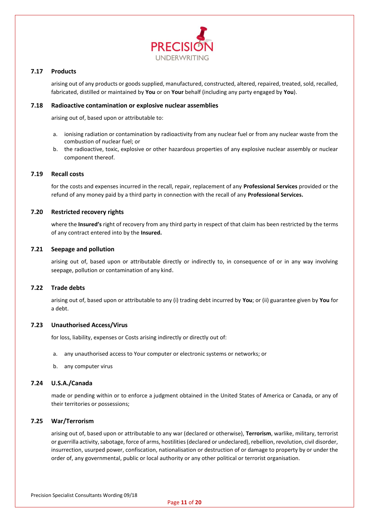

## <span id="page-15-0"></span>**7.17 Products**

arising out of any products or goods supplied, manufactured, constructed, altered, repaired, treated, sold, recalled, fabricated, distilled or maintained by **You** or on **Your** behalf (including any party engaged by **You**).

#### <span id="page-15-1"></span>**7.18 Radioactive contamination or explosive nuclear assemblies**

arising out of, based upon or attributable to:

- a. ionising radiation or contamination by radioactivity from any nuclear fuel or from any nuclear waste from the combustion of nuclear fuel; or
- b. the radioactive, toxic, explosive or other hazardous properties of any explosive nuclear assembly or nuclear component thereof.

#### <span id="page-15-2"></span>**7.19 Recall costs**

for the costs and expenses incurred in the recall, repair, replacement of any **Professional Services** provided or the refund of any money paid by a third party in connection with the recall of any **Professional Services.**

#### <span id="page-15-3"></span>**7.20 Restricted recovery rights**

where the **Insured's** right of recovery from any third party in respect of that claim has been restricted by the terms of any contract entered into by the **Insured.**

#### <span id="page-15-4"></span>**7.21 Seepage and pollution**

arising out of, based upon or attributable directly or indirectly to, in consequence of or in any way involving seepage, pollution or contamination of any kind.

#### <span id="page-15-5"></span>**7.22 Trade debts**

arising out of, based upon or attributable to any (i) trading debt incurred by **You**; or (ii) guarantee given by **You** for a debt.

#### <span id="page-15-6"></span>**7.23 Unauthorised Access/Virus**

for loss, liability, expenses or Costs arising indirectly or directly out of:

- a. any unauthorised access to Your computer or electronic systems or networks; or
- b. any computer virus

#### <span id="page-15-7"></span>**7.24 U.S.A./Canada**

made or pending within or to enforce a judgment obtained in the United States of America or Canada, or any of their territories or possessions;

#### <span id="page-15-8"></span>**7.25 War/Terrorism**

arising out of, based upon or attributable to any war (declared or otherwise), **Terrorism**, warlike, military, terrorist or guerrilla activity, sabotage, force of arms, hostilities (declared or undeclared), rebellion, revolution, civil disorder, insurrection, usurped power, confiscation, nationalisation or destruction of or damage to property by or under the order of, any governmental, public or local authority or any other political or terrorist organisation.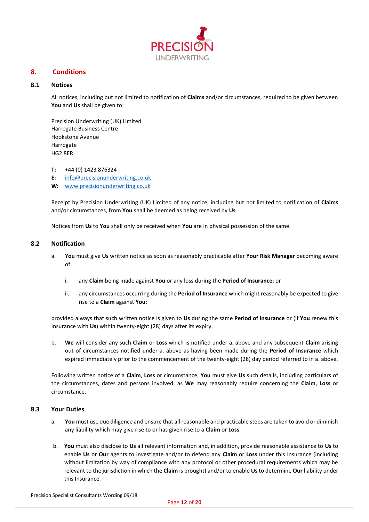

## <span id="page-16-0"></span>**8. Conditions**

#### <span id="page-16-1"></span>**8.1 Notices**

All notices, including but not limited to notification of **Claims** and/or circumstances, required to be given between **You** and **Us** shall be given to:

Precision Underwriting (UK) Limited Harrogate Business Centre Hookstone Avenue Harrogate HG2 8ER

**T:** +44 (0) 1423 876324

**E:** [info@precisionunderwriting.co.uk](mailto:info@precisionunderwriting.co.uk)

**W:** [www.precisionunderwriting.co.uk](http://www.precisionunderwriting.co.uk/)

Receipt by Precision Underwriting (UK) Limited of any notice, including but not limited to notification of **Claims** and/or circumstances, from **You** shall be deemed as being received by **Us**.

Notices from **Us** to **You** shall only be received when **You** are in physical possession of the same.

#### <span id="page-16-2"></span>**8.2 Notification**

- a. **You** must give **Us** written notice as soon as reasonably practicable after **Your Risk Manager** becoming aware of:
	- i. any **Claim** being made against **You** or any loss during the **Period of Insurance**; or
	- ii. any circumstances occurring during the **Period of Insurance** which might reasonably be expected to give rise to a **Claim** against **You**;

provided always that such written notice is given to **Us** during the same **Period of Insurance** or (if **You** renew this Insurance with **Us**) within twenty-eight (28) days after its expiry.

b. **We** will consider any such **Claim** or **Loss** which is notified under a. above and any subsequent **Claim** arising out of circumstances notified under a. above as having been made during the **Period of Insurance** which expired immediately prior to the commencement of the twenty-eight (28) day period referred to in a. above.

Following written notice of a **Claim**, **Loss** or circumstance, **You** must give **Us** such details, including particulars of the circumstances, dates and persons involved, as **We** may reasonably require concerning the **Claim**, **Loss** or circumstance.

#### <span id="page-16-3"></span>**8.3 Your Duties**

- a. **You** must use due diligence and ensure that all reasonable and practicable steps are taken to avoid or diminish any liability which may give rise to or has given rise to a **Claim** or **Loss**.
- b. **You** must also disclose to **Us** all relevant information and, in addition, provide reasonable assistance to **Us** to enable **Us** or **Our** agents to investigate and/or to defend any **Claim** or **Loss** under this Insurance (including without limitation by way of compliance with any protocol or other procedural requirements which may be relevant to the jurisdiction in which the **Claim** is brought) and/or to enable **Us** to determine **Our** liability under this Insurance.

Precision Specialist Consultants Wording 09/18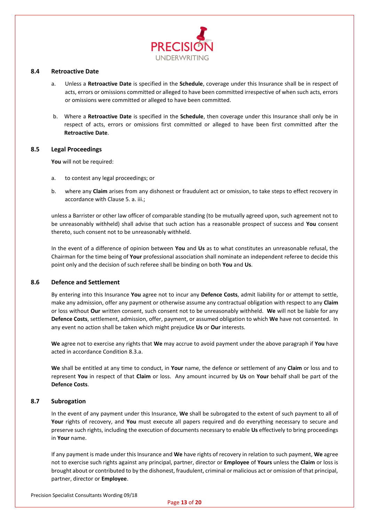

#### <span id="page-17-0"></span>**8.4 Retroactive Date**

- a. Unless a **Retroactive Date** is specified in the **Schedule**, coverage under this Insurance shall be in respect of acts, errors or omissions committed or alleged to have been committed irrespective of when such acts, errors or omissions were committed or alleged to have been committed.
- b. Where a **Retroactive Date** is specified in the **Schedule**, then coverage under this Insurance shall only be in respect of acts, errors or omissions first committed or alleged to have been first committed after the **Retroactive Date**.

#### <span id="page-17-1"></span>**8.5 Legal Proceedings**

**You** will not be required:

- a. to contest any legal proceedings; or
- b. where any **Claim** arises from any dishonest or fraudulent act or omission, to take steps to effect recovery in accordance with Clause 5. a. iii.;

unless a Barrister or other law officer of comparable standing (to be mutually agreed upon, such agreement not to be unreasonably withheld) shall advise that such action has a reasonable prospect of success and **You** consent thereto, such consent not to be unreasonably withheld.

In the event of a difference of opinion between **You** and **Us** as to what constitutes an unreasonable refusal, the Chairman for the time being of **Your** professional association shall nominate an independent referee to decide this point only and the decision of such referee shall be binding on both **You** and **Us**.

#### <span id="page-17-2"></span>**8.6 Defence and Settlement**

By entering into this Insurance **You** agree not to incur any **Defence Costs**, admit liability for or attempt to settle, make any admission, offer any payment or otherwise assume any contractual obligation with respect to any **Claim** or loss without **Our** written consent, such consent not to be unreasonably withheld. **We** will not be liable for any **Defence Costs**, settlement, admission, offer, payment, or assumed obligation to which **We** have not consented. In any event no action shall be taken which might prejudice **Us** or **Our** interests.

**We** agree not to exercise any rights that **We** may accrue to avoid payment under the above paragraph if **You** have acted in accordance Condition 8.3.a.

**We** shall be entitled at any time to conduct, in **Your** name, the defence or settlement of any **Claim** or loss and to represent **You** in respect of that **Claim** or loss. Any amount incurred by **Us** on **Your** behalf shall be part of the **Defence Costs**.

#### <span id="page-17-3"></span>**8.7 Subrogation**

In the event of any payment under this Insurance, **We** shall be subrogated to the extent of such payment to all of **Your** rights of recovery, and **You** must execute all papers required and do everything necessary to secure and preserve such rights, including the execution of documents necessary to enable **Us** effectively to bring proceedings in **Your** name.

If any payment is made under this Insurance and **We** have rights of recovery in relation to such payment, **We** agree not to exercise such rights against any principal, partner, director or **Employee** of **Yours** unless the **Claim** or loss is brought about or contributed to by the dishonest, fraudulent, criminal or malicious act or omission of that principal, partner, director or **Employee**.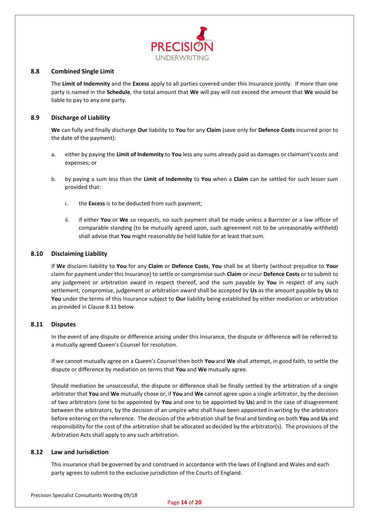

#### <span id="page-18-0"></span>**8.8 Combined Single Limit**

The **Limit of Indemnity** and the **Excess** apply to all parties covered under this Insurance jointly. If more than one party is named in the **Schedule**, the total amount that **We** will pay will not exceed the amount that **We** would be liable to pay to any one party.

#### <span id="page-18-1"></span>**8.9 Discharge of Liability**

**We** can fully and finally discharge **Our** liability to **You** for any **Claim** (save only for **Defence Costs** incurred prior to the date of the payment):

- a. either by paying the **Limit of Indemnity** to **You** less any sums already paid as damages or claimant's costs and expenses; or
- b. by paying a sum less than the **Limit of Indemnity** to **You** when a **Claim** can be settled for such lesser sum provided that:
	- i. the **Excess** is to be deducted from such payment;
	- ii. if either **You** or **We** so requests, no such payment shall be made unless a Barrister or a law officer of comparable standing (to be mutually agreed upon, such agreement not to be unreasonably withheld) shall advise that **You** might reasonably be held liable for at least that sum.

#### <span id="page-18-2"></span>**8.10 Disclaiming Liability**

If **We** disclaim liability to **You** for any **Claim** or **Defence Costs**, **You** shall be at liberty (without prejudice to **Your** claim for payment under this Insurance) to settle or compromise such **Claim** or incur **Defence Costs** or to submit to any judgement or arbitration award in respect thereof, and the sum payable by **You** in respect of any such settlement, compromise, judgement or arbitration award shall be accepted by **Us** as the amount payable by **Us** to **You** under the terms of this Insurance subject to **Our** liability being established by either mediation or arbitration as provided in Clause 8.11 below.

#### <span id="page-18-3"></span>**8.11 Disputes**

In the event of any dispute or difference arising under this Insurance, the dispute or difference will be referred to a mutually agreed Queen's Counsel for resolution.

If we cannot mutually agree on a Queen's Counsel then both **You** and **We** shall attempt, in good faith, to settle the dispute or difference by mediation on terms that **You** and **We** mutually agree.

Should mediation be unsuccessful, the dispute or difference shall be finally settled by the arbitration of a single arbitrator that **You** and **We** mutually chose or, if **You** and **We** cannot agree upon a single arbitrator, by the decision of two arbitrators (one to be appointed by **You** and one to be appointed by **Us**) and in the case of disagreement between the arbitrators, by the decision of an umpire who shall have been appointed in writing by the arbitrators before entering on the reference. The decision of the arbitration shall be final and binding on both **You** and **Us** and responsibility for the cost of the arbitration shall be allocated as decided by the arbitrator(s). The provisions of the Arbitration Acts shall apply to any such arbitration.

#### <span id="page-18-4"></span>**8.12 Law and Jurisdiction**

This insurance shall be governed by and construed in accordance with the laws of England and Wales and each party agrees to submit to the exclusive jurisdiction of the Courts of England.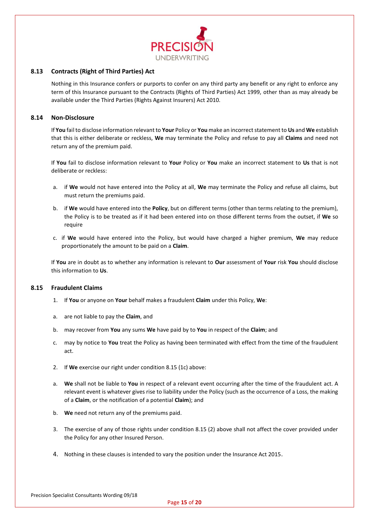

## <span id="page-19-0"></span>**8.13 Contracts (Right of Third Parties) Act**

Nothing in this Insurance confers or purports to confer on any third party any benefit or any right to enforce any term of this Insurance pursuant to the Contracts (Rights of Third Parties) Act 1999, other than as may already be available under the Third Parties (Rights Against Insurers) Act 2010.

#### <span id="page-19-1"></span>**8.14 Non-Disclosure**

If **You** fail to disclose information relevant to **Your** Policy or **You** make an incorrect statement to **Us** and **We** establish that this is either deliberate or reckless, **We** may terminate the Policy and refuse to pay all **Claims** and need not return any of the premium paid.

If **You** fail to disclose information relevant to **Your** Policy or **You** make an incorrect statement to **Us** that is not deliberate or reckless:

- a. if **We** would not have entered into the Policy at all, **We** may terminate the Policy and refuse all claims, but must return the premiums paid.
- b. if **We** would have entered into the **Policy**, but on different terms (other than terms relating to the premium), the Policy is to be treated as if it had been entered into on those different terms from the outset, if **We** so require
- c. if **We** would have entered into the Policy, but would have charged a higher premium, **We** may reduce proportionately the amount to be paid on a **Claim**.

If **You** are in doubt as to whether any information is relevant to **Our** assessment of **Your** risk **You** should disclose this information to **Us**.

## <span id="page-19-2"></span>**8.15 Fraudulent Claims**

- 1. If **You** or anyone on **Your** behalf makes a fraudulent **Claim** under this Policy, **We**:
- a. are not liable to pay the **Claim**, and
- b. may recover from **You** any sums **We** have paid by to **You** in respect of the **Claim**; and
- c. may by notice to **You** treat the Policy as having been terminated with effect from the time of the fraudulent act.
- 2. If **We** exercise our right under condition 8.15 (1c) above:
- a. **We** shall not be liable to **You** in respect of a relevant event occurring after the time of the fraudulent act. A relevant event is whatever gives rise to liability under the Policy (such as the occurrence of a Loss, the making of a **Claim**, or the notification of a potential **Claim**); and
- b. **We** need not return any of the premiums paid.
- 3. The exercise of any of those rights under condition 8.15 (2) above shall not affect the cover provided under the Policy for any other Insured Person.
- 4. Nothing in these clauses is intended to vary the position under the Insurance Act 2015.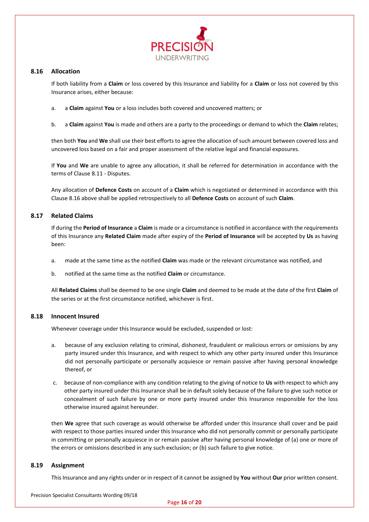

#### <span id="page-20-0"></span>**8.16 Allocation**

If both liability from a **Claim** or loss covered by this Insurance and liability for a **Claim** or loss not covered by this Insurance arises, either because:

- a. a **Claim** against **You** or a loss includes both covered and uncovered matters; or
- b. a **Claim** against **You** is made and others are a party to the proceedings or demand to which the **Claim** relates;

then both **You** and **We** shall use their best efforts to agree the allocation of such amount between covered loss and uncovered loss based on a fair and proper assessment of the relative legal and financial exposures.

If **You** and **We** are unable to agree any allocation, it shall be referred for determination in accordance with the terms of Clause 8.11 - Disputes.

Any allocation of **Defence Costs** on account of a **Claim** which is negotiated or determined in accordance with this Clause 8.16 above shall be applied retrospectively to all **Defence Costs** on account of such **Claim**.

#### <span id="page-20-1"></span>**8.17 Related Claims**

If during the **Period of Insurance** a **Claim** is made or a circumstance is notified in accordance with the requirements of this Insurance any **Related Claim** made after expiry of the **Period of Insurance** will be accepted by **Us** as having been:

- a. made at the same time as the notified **Claim** was made or the relevant circumstance was notified, and
- b. notified at the same time as the notified **Claim** or circumstance.

All **Related Claims** shall be deemed to be one single **Claim** and deemed to be made at the date of the first **Claim** of the series or at the first circumstance notified, whichever is first.

#### <span id="page-20-2"></span>**8.18 Innocent Insured**

Whenever coverage under this Insurance would be excluded, suspended or lost:

- a. because of any exclusion relating to criminal, dishonest, fraudulent or malicious errors or omissions by any party insured under this Insurance, and with respect to which any other party insured under this Insurance did not personally participate or personally acquiesce or remain passive after having personal knowledge thereof, or
- c. because of non-compliance with any condition relating to the giving of notice to **Us** with respect to which any other party insured under this Insurance shall be in default solely because of the failure to give such notice or concealment of such failure by one or more party insured under this Insurance responsible for the loss otherwise insured against hereunder.

then **We** agree that such coverage as would otherwise be afforded under this Insurance shall cover and be paid with respect to those parties insured under this Insurance who did not personally commit or personally participate in committing or personally acquiesce in or remain passive after having personal knowledge of (a) one or more of the errors or omissions described in any such exclusion; or (b) such failure to give notice.

#### <span id="page-20-3"></span>**8.19 Assignment**

This Insurance and any rights under or in respect of it cannot be assigned by **You** without **Our** prior written consent.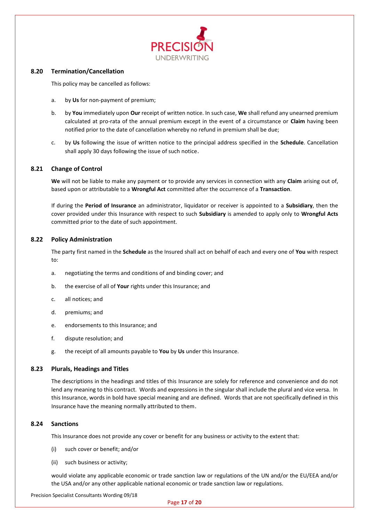

#### <span id="page-21-0"></span>**8.20 Termination/Cancellation**

This policy may be cancelled as follows:

- a. by **Us** for non-payment of premium;
- b. by **You** immediately upon **Our** receipt of written notice. In such case, **We** shall refund any unearned premium calculated at pro-rata of the annual premium except in the event of a circumstance or **Claim** having been notified prior to the date of cancellation whereby no refund in premium shall be due;
- c. by **Us** following the issue of written notice to the principal address specified in the **Schedule**. Cancellation shall apply 30 days following the issue of such notice.

#### <span id="page-21-1"></span>**8.21 Change of Control**

**We** will not be liable to make any payment or to provide any services in connection with any **Claim** arising out of, based upon or attributable to a **Wrongful Act** committed after the occurrence of a **Transaction**.

If during the **Period of Insurance** an administrator, liquidator or receiver is appointed to a **Subsidiary**, then the cover provided under this Insurance with respect to such **Subsidiary** is amended to apply only to **Wrongful Acts** committed prior to the date of such appointment.

#### <span id="page-21-2"></span>**8.22 Policy Administration**

The party first named in the **Schedule** as the Insured shall act on behalf of each and every one of **You** with respect to:

- a. negotiating the terms and conditions of and binding cover; and
- b. the exercise of all of **Your** rights under this Insurance; and
- c. all notices; and
- d. premiums; and
- e. endorsements to this Insurance; and
- f. dispute resolution; and
- g. the receipt of all amounts payable to **You** by **Us** under this Insurance.

#### <span id="page-21-3"></span>**8.23 Plurals, Headings and Titles**

The descriptions in the headings and titles of this Insurance are solely for reference and convenience and do not lend any meaning to this contract. Words and expressions in the singular shall include the plural and vice versa. In this Insurance, words in bold have special meaning and are defined. Words that are not specifically defined in this Insurance have the meaning normally attributed to them.

#### <span id="page-21-4"></span>**8.24 Sanctions**

This Insurance does not provide any cover or benefit for any business or activity to the extent that:

- (i) such cover or benefit; and/or
- (ii) such business or activity;

would violate any applicable economic or trade sanction law or regulations of the UN and/or the EU/EEA and/or the USA and/or any other applicable national economic or trade sanction law or regulations.

Precision Specialist Consultants Wording 09/18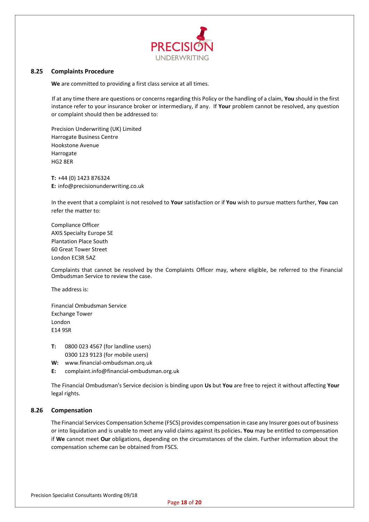

#### <span id="page-22-0"></span>**8.25 Complaints Procedure**

**We** are committed to providing a first class service at all times.

If at any time there are questions or concerns regarding this Policy or the handling of a claim, **You** should in the first instance refer to your insurance broker or intermediary, if any. If **Your** problem cannot be resolved, any question or complaint should then be addressed to:

Precision Underwriting (UK) Limited Harrogate Business Centre Hookstone Avenue Harrogate HG2 8ER

**T:** +44 (0) 1423 876324 **E:** [info@precisionunderwriting.co.uk](mailto:info@precisionunderwriting.co.uk)

In the event that a complaint is not resolved to **Your** satisfaction or if **You** wish to pursue matters further, **You** can refer the matter to:

Compliance Officer AXIS Specialty Europe SE Plantation Place South 60 Great Tower Street London EC3R 5AZ

Complaints that cannot be resolved by the Complaints Officer may, where eligible, be referred to the Financial Ombudsman Service to review the case.

The address is:

Financial Ombudsman Service Exchange Tower London E14 9SR

- **T:** 0800 023 4567 (for landline users) 0300 123 9123 (for mobile users)
- **W:** [www.financial-ombudsman.orq.uk](http://www.financial-ombudsman.orq.uk/)
- **E:** complaint.info@financial-ombudsman.org.uk

The Financial Ombudsman's Service decision is binding upon **Us** but **You** are free to reject it without affecting **Your** legal rights.

#### <span id="page-22-1"></span>**8.26 Compensation**

The Financial Services Compensation Scheme (FSCS) provides compensation in case any Insurer goes out of business or into liquidation and is unable to meet any valid claims against its policies**. You** may be entitled to compensation if **We** cannot meet **Our** obligations, depending on the circumstances of the claim. Further information about the compensation scheme can be obtained from FSCS.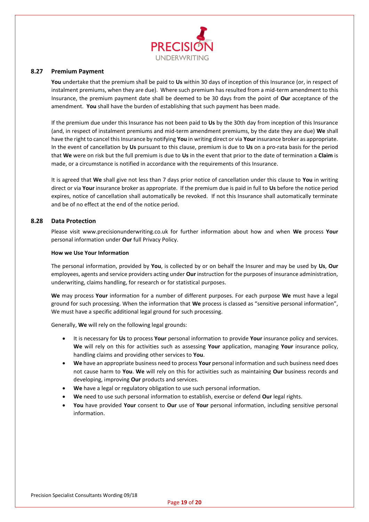

#### <span id="page-23-0"></span>**8.27 Premium Payment**

**You** undertake that the premium shall be paid to **Us** within 30 days of inception of this Insurance (or, in respect of instalment premiums, when they are due). Where such premium has resulted from a mid-term amendment to this Insurance, the premium payment date shall be deemed to be 30 days from the point of **Our** acceptance of the amendment. **You** shall have the burden of establishing that such payment has been made.

If the premium due under this Insurance has not been paid to **Us** by the 30th day from inception of this Insurance (and, in respect of instalment premiums and mid-term amendment premiums, by the date they are due) **We** shall have the right to cancel this Insurance by notifying **You** in writing direct or via **Your** insurance broker as appropriate. In the event of cancellation by **Us** pursuant to this clause, premium is due to **Us** on a pro-rata basis for the period that **We** were on risk but the full premium is due to **Us** in the event that prior to the date of termination a **Claim** is made, or a circumstance is notified in accordance with the requirements of this Insurance.

It is agreed that **We** shall give not less than 7 days prior notice of cancellation under this clause to **You** in writing direct or via **Your** insurance broker as appropriate. If the premium due is paid in full to **Us** before the notice period expires, notice of cancellation shall automatically be revoked. If not this Insurance shall automatically terminate and be of no effect at the end of the notice period.

#### <span id="page-23-1"></span>**8.28 Data Protection**

Please visit www.precisionunderwriting.co.uk for further information about how and when **We** process **Your** personal information under **Our** full Privacy Policy.

#### **How we Use Your Information**

The personal information, provided by **You**, is collected by or on behalf the Insurer and may be used by **Us**, **Our** employees, agents and service providers acting under **Our** instruction for the purposes of insurance administration, underwriting, claims handling, for research or for statistical purposes.

**We** may process **Your** information for a number of different purposes. For each purpose **We** must have a legal ground for such processing. When the information that **We** process is classed as "sensitive personal information", We must have a specific additional legal ground for such processing.

Generally, **We** will rely on the following legal grounds:

- It is necessary for **Us** to process **Your** personal information to provide **Your** insurance policy and services. **We** will rely on this for activities such as assessing **Your** application, managing **Your** insurance policy, handling claims and providing other services to **You**.
- **We** have an appropriate business need to process **Your** personal information and such business need does not cause harm to **You**. **We** will rely on this for activities such as maintaining **Our** business records and developing, improving **Our** products and services.
- **We** have a legal or regulatory obligation to use such personal information.
- **We** need to use such personal information to establish, exercise or defend **Our** legal rights.
- **You** have provided **Your** consent to **Our** use of **Your** personal information, including sensitive personal information.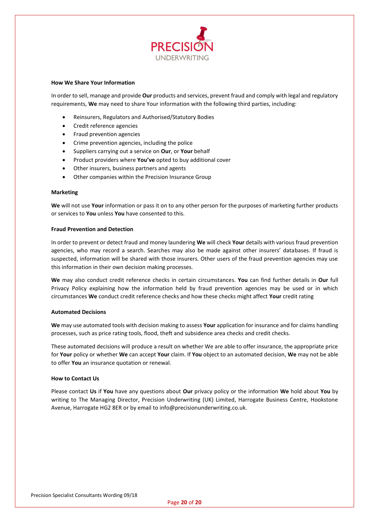

#### **How We Share Your Information**

In order to sell, manage and provide **Our** products and services, prevent fraud and comply with legal and regulatory requirements, **We** may need to share Your information with the following third parties, including:

- Reinsurers, Regulators and Authorised/Statutory Bodies
- Credit reference agencies
- Fraud prevention agencies
- Crime prevention agencies, including the police
- Suppliers carrying out a service on **Our**, or **Your** behalf
- Product providers where **You've** opted to buy additional cover
- Other insurers, business partners and agents
- Other companies within the Precision Insurance Group

#### **Marketing**

**We** will not use **Your** information or pass it on to any other person for the purposes of marketing further products or services to **You** unless **You** have consented to this.

#### **Fraud Prevention and Detection**

In order to prevent or detect fraud and money laundering **We** will check **Your** details with various fraud prevention agencies, who may record a search. Searches may also be made against other insurers' databases. If fraud is suspected, information will be shared with those insurers. Other users of the fraud prevention agencies may use this information in their own decision making processes.

**We** may also conduct credit reference checks in certain circumstances. **You** can find further details in **Our** full Privacy Policy explaining how the information held by fraud prevention agencies may be used or in which circumstances **We** conduct credit reference checks and how these checks might affect **Your** credit rating

#### **Automated Decisions**

**We** may use automated tools with decision making to assess **Your** application for insurance and for claims handling processes, such as price rating tools, flood, theft and subsidence area checks and credit checks.

These automated decisions will produce a result on whether We are able to offer insurance, the appropriate price for **Your** policy or whether **We** can accept **Your** claim. If **You** object to an automated decision, **We** may not be able to offer **You** an insurance quotation or renewal.

#### **How to Contact Us**

Please contact **Us** if **You** have any questions about **Our** privacy policy or the information **We** hold about **You** by writing to The Managing Director, Precision Underwriting (UK) Limited, Harrogate Business Centre, Hookstone Avenue, Harrogate HG2 8ER or by email to info@precisionunderwriting.co.uk.